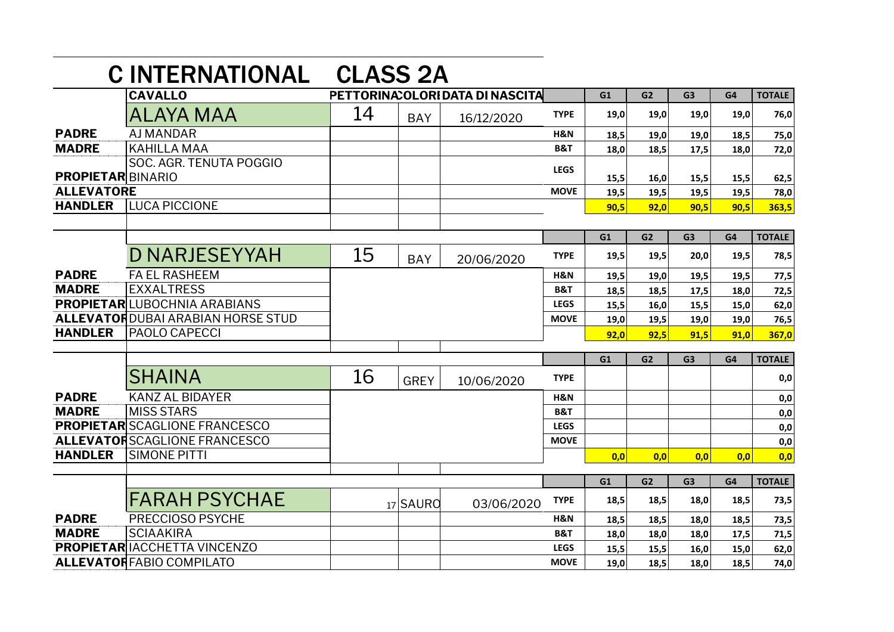|                          | <b>C INTERNATIONAL</b>                   | <b>CLASS 2A</b>                  |             |            |                |      |                |                |                |               |
|--------------------------|------------------------------------------|----------------------------------|-------------|------------|----------------|------|----------------|----------------|----------------|---------------|
|                          | <b>CAVALLO</b>                           | PETTORINA: OLORI DATA DI NASCITA |             |            |                | G1   | G <sub>2</sub> | G <sub>3</sub> | G4             | <b>TOTALE</b> |
|                          | ALAYA MAA                                | 14                               | <b>BAY</b>  | 16/12/2020 | <b>TYPE</b>    | 19,0 | 19,0           | 19,0           | 19,0           | 76,0          |
| <b>PADRE</b>             | <b>AJ MANDAR</b>                         |                                  |             |            | H&N            | 18,5 | 19,0           | 19,0           | 18,5           | 75,0          |
| <b>MADRE</b>             | <b>KAHILLA MAA</b>                       |                                  |             |            | <b>B&amp;T</b> | 18,0 | 18,5           | 17,5           | 18,0           | 72,0          |
| <b>PROPIETAR BINARIO</b> | SOC. AGR. TENUTA POGGIO                  |                                  |             |            | <b>LEGS</b>    | 15,5 | 16,0           | 15,5           | 15,5           | 62,5          |
| <b>ALLEVATORE</b>        |                                          |                                  |             |            | <b>MOVE</b>    | 19,5 | 19,5           | 19,5           | 19,5           | 78,0          |
| <b>HANDLER</b>           | LUCA PICCIONE                            |                                  |             |            |                | 90,5 | 92,0           | 90,5           | 90,5           | 363,5         |
|                          |                                          |                                  |             |            |                |      |                |                |                |               |
|                          |                                          |                                  |             |            |                | G1   | G <sub>2</sub> | G <sub>3</sub> | G4             | <b>TOTALE</b> |
|                          | <b>D NARJESEYYAH</b>                     | 15                               | <b>BAY</b>  | 20/06/2020 | <b>TYPE</b>    | 19,5 | 19,5           | 20,0           | 19,5           | 78,5          |
| <b>PADRE</b>             | <b>FA EL RASHEEM</b>                     |                                  |             |            | H&N            | 19,5 | 19,0           | 19,5           | 19,5           | 77,5          |
| <b>MADRE</b>             | <b>EXXALTRESS</b>                        |                                  |             |            | <b>B&amp;T</b> | 18,5 | 18,5           | 17,5           | 18,0           | 72,5          |
|                          | <b>PROPIETARLUBOCHNIA ARABIANS</b>       |                                  |             |            | <b>LEGS</b>    | 15,5 | 16,0           | 15,5           | 15,0           | 62,0          |
|                          | <b>ALLEVATORDUBAI ARABIAN HORSE STUD</b> |                                  |             |            | <b>MOVE</b>    | 19,0 | 19,5           | 19,0           | 19,0           | 76,5          |
| <b>HANDLER</b>           | PAOLO CAPECCI                            |                                  |             |            |                | 92,0 | 92,5           | 91,5           | 91,0           | 367,0         |
|                          |                                          |                                  |             |            |                | G1   | G <sub>2</sub> | G <sub>3</sub> | G <sub>4</sub> | <b>TOTALE</b> |
|                          |                                          |                                  |             |            |                |      |                |                |                |               |
|                          | <b>SHAINA</b>                            | 16                               | <b>GREY</b> | 10/06/2020 | <b>TYPE</b>    |      |                |                |                | 0,0           |
| <b>PADRE</b>             | <b>KANZ AL BIDAYER</b>                   |                                  |             |            | H&N            |      |                |                |                | 0,0           |
| <b>MADRE</b>             | <b>MISS STARS</b>                        |                                  |             |            | <b>B&amp;T</b> |      |                |                |                | 0,0           |
|                          | <b>PROPIETAR</b> SCAGLIONE FRANCESCO     |                                  |             |            | <b>LEGS</b>    |      |                |                |                | 0,0           |
|                          | <b>ALLEVATORSCAGLIONE FRANCESCO</b>      |                                  |             |            | <b>MOVE</b>    |      |                |                |                | 0,0           |
| <b>HANDLER</b>           | <b>SIMONE PITTI</b>                      |                                  |             |            |                | 0,0  | 0,0            | 0,0            | 0,0            | 0,0           |
|                          |                                          |                                  |             |            |                | G1   | G2             | G3             | G4             | <b>TOTALE</b> |
|                          |                                          |                                  |             |            |                |      |                |                |                |               |
|                          | <b>FARAH PSYCHAE</b>                     |                                  | 17 SAURO    | 03/06/2020 | <b>TYPE</b>    | 18,5 | 18,5           | 18,0           | 18,5           | 73,5          |
| <b>PADRE</b>             | PRECCIOSO PSYCHE                         |                                  |             |            | H&N            | 18,5 | 18,5           | 18,0           | 18,5           | 73,5          |
| <b>MADRE</b>             | <b>SCIAAKIRA</b>                         |                                  |             |            | <b>B&amp;T</b> | 18,0 | 18,0           | 18,0           | 17,5           | 71,5          |
|                          | <b>PROPIETAR IACCHETTA VINCENZO</b>      |                                  |             |            | <b>LEGS</b>    | 15,5 | 15,5           | 16,0           | 15,0           | 62,0          |
|                          | <b>ALLEVATOR FABIO COMPILATO</b>         |                                  |             |            | <b>MOVE</b>    | 19.0 | 18,5           | 18,0           | 18,5           | 74,0          |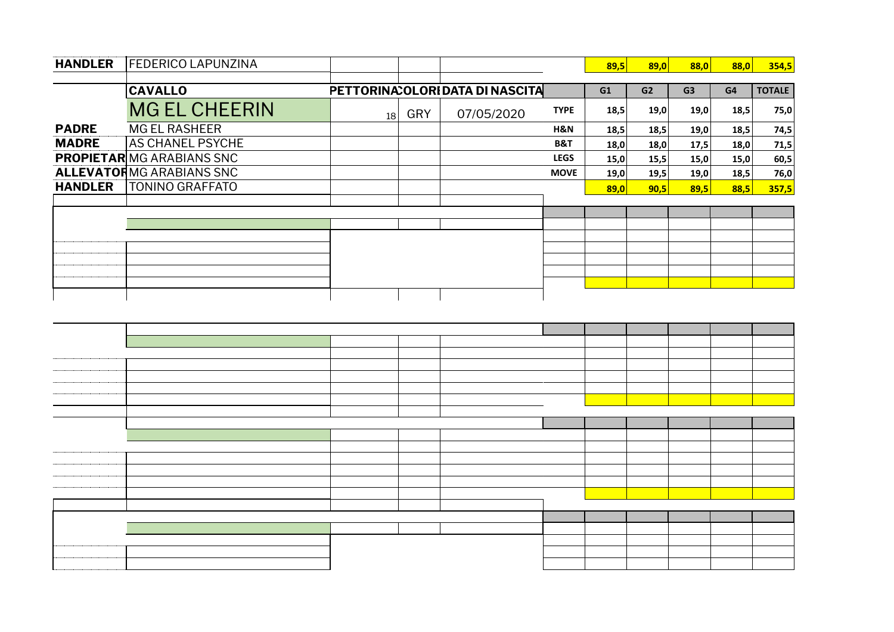| <b>HANDLER</b> | <b>FEDERICO LAPUNZINA</b>        |                 |     |                                  |                | 89,5 | 89,0 | 88,0           | 88,0 | 354,5         |
|----------------|----------------------------------|-----------------|-----|----------------------------------|----------------|------|------|----------------|------|---------------|
|                | <b>CAVALLO</b>                   |                 |     | PETTORINA: OLORI DATA DI NASCITA |                | G1   | G2   | G <sub>3</sub> | G4   | <b>TOTALE</b> |
|                | <b>MG EL CHEERIN</b>             | 18 <sup>1</sup> | GRY | 07/05/2020                       | <b>TYPE</b>    | 18,5 | 19,0 | 19,0           | 18,5 | 75,0          |
| <b>PADRE</b>   | <b>MG EL RASHEER</b>             |                 |     |                                  | H&N            | 18,5 | 18,5 | 19,0           | 18,5 | 74,5          |
| <b>MADRE</b>   | <b>AS CHANEL PSYCHE</b>          |                 |     |                                  | <b>B&amp;T</b> | 18,0 | 18,0 | 17,5           | 18,0 | 71,5          |
|                | <b>PROPIETAR</b> MG ARABIANS SNC |                 |     |                                  | <b>LEGS</b>    | 15,0 | 15,5 | 15,0           | 15,0 | 60,5          |
|                | <b>ALLEVATORMG ARABIANS SNC</b>  |                 |     |                                  | <b>MOVE</b>    | 19,0 | 19,5 | 19,0           | 18,5 | 76,0          |
| <b>HANDLER</b> | <b>TONINO GRAFFATO</b>           |                 |     |                                  |                | 89,0 | 90,5 | 89,5           | 88,5 | 357,5         |
|                |                                  |                 |     |                                  |                |      |      |                |      |               |
|                |                                  |                 |     |                                  |                |      |      |                |      |               |
|                |                                  |                 |     |                                  |                |      |      |                |      |               |
|                |                                  |                 |     |                                  |                |      |      |                |      |               |
|                |                                  |                 |     |                                  |                |      |      |                |      |               |
|                |                                  |                 |     |                                  |                |      |      |                |      |               |
|                |                                  |                 |     |                                  |                |      |      |                |      |               |
|                |                                  |                 |     |                                  |                |      |      |                |      |               |
|                |                                  |                 |     |                                  |                |      |      |                |      |               |
|                |                                  |                 |     |                                  |                |      |      |                |      |               |
|                |                                  |                 |     |                                  |                |      |      |                |      |               |
|                |                                  |                 |     |                                  |                |      |      |                |      |               |
|                |                                  |                 |     |                                  |                |      |      |                |      |               |